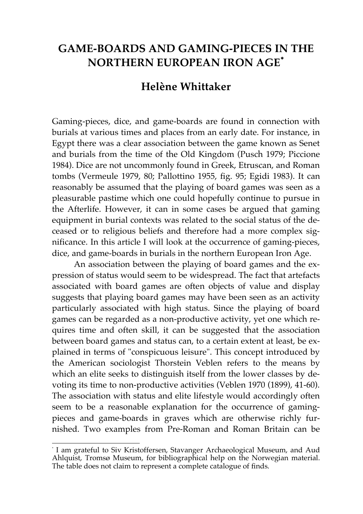## **GAME-BOARDS AND GAMING-PIECES IN THE NORTHERN EUROPEAN IRON AGE**<sup>∗</sup>

## **Helène Whittaker**

Gaming-pieces, dice, and game-boards are found in connection with burials at various times and places from an early date. For instance, in Egypt there was a clear association between the game known as Senet and burials from the time of the Old Kingdom (Pusch 1979; Piccione 1984). Dice are not uncommonly found in Greek, Etruscan, and Roman tombs (Vermeule 1979, 80; Pallottino 1955, fig. 95; Egidi 1983). It can reasonably be assumed that the playing of board games was seen as a pleasurable pastime which one could hopefully continue to pursue in the Afterlife. However, it can in some cases be argued that gaming equipment in burial contexts was related to the social status of the deceased or to religious beliefs and therefore had a more complex significance. In this article I will look at the occurrence of gaming-pieces, dice, and game-boards in burials in the northern European Iron Age.

An association between the playing of board games and the expression of status would seem to be widespread. The fact that artefacts associated with board games are often objects of value and display suggests that playing board games may have been seen as an activity particularly associated with high status. Since the playing of board games can be regarded as a non-productive activity, yet one which requires time and often skill, it can be suggested that the association between board games and status can, to a certain extent at least, be explained in terms of "conspicuous leisure". This concept introduced by the American sociologist Thorstein Veblen refers to the means by which an elite seeks to distinguish itself from the lower classes by devoting its time to non-productive activities (Veblen 1970 (1899), 41-60). The association with status and elite lifestyle would accordingly often seem to be a reasonable explanation for the occurrence of gamingpieces and game-boards in graves which are otherwise richly furnished. Two examples from Pre-Roman and Roman Britain can be

∗ I am grateful to Siv Kristoffersen, Stavanger Archaeological Museum, and Aud Ahlquist, Tromsø Museum, for bibliographical help on the Norwegian material. The table does not claim to represent a complete catalogue of finds.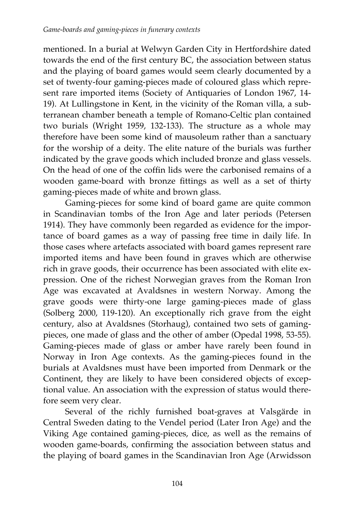mentioned. In a burial at Welwyn Garden City in Hertfordshire dated towards the end of the first century BC, the association between status and the playing of board games would seem clearly documented by a set of twenty-four gaming-pieces made of coloured glass which represent rare imported items (Society of Antiquaries of London 1967, 14- 19). At Lullingstone in Kent, in the vicinity of the Roman villa, a subterranean chamber beneath a temple of Romano-Celtic plan contained two burials (Wright 1959, 132-133). The structure as a whole may therefore have been some kind of mausoleum rather than a sanctuary for the worship of a deity. The elite nature of the burials was further indicated by the grave goods which included bronze and glass vessels. On the head of one of the coffin lids were the carbonised remains of a wooden game-board with bronze fittings as well as a set of thirty gaming-pieces made of white and brown glass.

Gaming-pieces for some kind of board game are quite common in Scandinavian tombs of the Iron Age and later periods (Petersen 1914). They have commonly been regarded as evidence for the importance of board games as a way of passing free time in daily life. In those cases where artefacts associated with board games represent rare imported items and have been found in graves which are otherwise rich in grave goods, their occurrence has been associated with elite expression. One of the richest Norwegian graves from the Roman Iron Age was excavated at Avaldsnes in western Norway. Among the grave goods were thirty-one large gaming-pieces made of glass (Solberg 2000, 119-120). An exceptionally rich grave from the eight century, also at Avaldsnes (Storhaug), contained two sets of gamingpieces, one made of glass and the other of amber (Opedal 1998, 53-55). Gaming-pieces made of glass or amber have rarely been found in Norway in Iron Age contexts. As the gaming-pieces found in the burials at Avaldsnes must have been imported from Denmark or the Continent, they are likely to have been considered objects of exceptional value. An association with the expression of status would therefore seem very clear.

Several of the richly furnished boat-graves at Valsgärde in Central Sweden dating to the Vendel period (Later Iron Age) and the Viking Age contained gaming-pieces, dice, as well as the remains of wooden game-boards, confirming the association between status and the playing of board games in the Scandinavian Iron Age (Arwidsson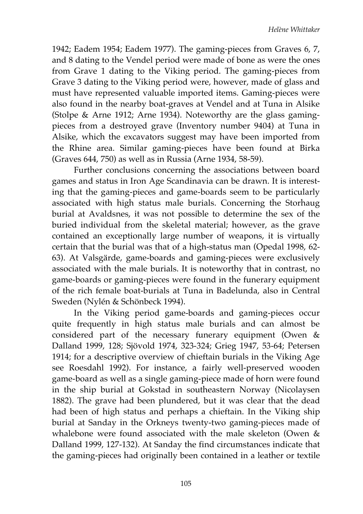1942; Eadem 1954; Eadem 1977). The gaming-pieces from Graves 6, 7, and 8 dating to the Vendel period were made of bone as were the ones from Grave 1 dating to the Viking period. The gaming-pieces from Grave 3 dating to the Viking period were, however, made of glass and must have represented valuable imported items. Gaming-pieces were also found in the nearby boat-graves at Vendel and at Tuna in Alsike (Stolpe & Arne 1912; Arne 1934). Noteworthy are the glass gamingpieces from a destroyed grave (Inventory number 9404) at Tuna in Alsike, which the excavators suggest may have been imported from the Rhine area. Similar gaming-pieces have been found at Birka (Graves 644, 750) as well as in Russia (Arne 1934, 58-59).

Further conclusions concerning the associations between board games and status in Iron Age Scandinavia can be drawn. It is interesting that the gaming-pieces and game-boards seem to be particularly associated with high status male burials. Concerning the Storhaug burial at Avaldsnes, it was not possible to determine the sex of the buried individual from the skeletal material; however, as the grave contained an exceptionally large number of weapons, it is virtually certain that the burial was that of a high-status man (Opedal 1998, 62- 63). At Valsgärde, game-boards and gaming-pieces were exclusively associated with the male burials. It is noteworthy that in contrast, no game-boards or gaming-pieces were found in the funerary equipment of the rich female boat-burials at Tuna in Badelunda, also in Central Sweden (Nylén & Schönbeck 1994).

In the Viking period game-boards and gaming-pieces occur quite frequently in high status male burials and can almost be considered part of the necessary funerary equipment (Owen & Dalland 1999, 128; Sjövold 1974, 323-324; Grieg 1947, 53-64; Petersen 1914; for a descriptive overview of chieftain burials in the Viking Age see Roesdahl 1992). For instance, a fairly well-preserved wooden game-board as well as a single gaming-piece made of horn were found in the ship burial at Gokstad in southeastern Norway (Nicolaysen 1882). The grave had been plundered, but it was clear that the dead had been of high status and perhaps a chieftain. In the Viking ship burial at Sanday in the Orkneys twenty-two gaming-pieces made of whalebone were found associated with the male skeleton (Owen & Dalland 1999, 127-132). At Sanday the find circumstances indicate that the gaming-pieces had originally been contained in a leather or textile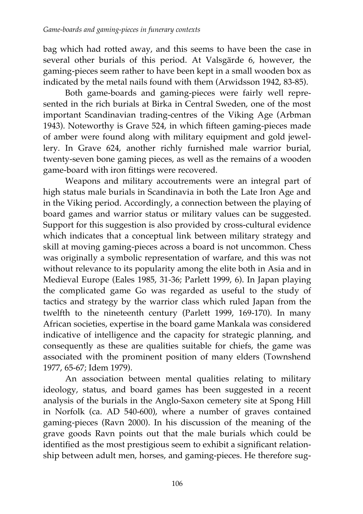bag which had rotted away, and this seems to have been the case in several other burials of this period. At Valsgärde 6, however, the gaming-pieces seem rather to have been kept in a small wooden box as indicated by the metal nails found with them (Arwidsson 1942, 83-85).

Both game-boards and gaming-pieces were fairly well represented in the rich burials at Birka in Central Sweden, one of the most important Scandinavian trading-centres of the Viking Age (Arbman 1943). Noteworthy is Grave 524, in which fifteen gaming-pieces made of amber were found along with military equipment and gold jewellery. In Grave 624, another richly furnished male warrior burial, twenty-seven bone gaming pieces, as well as the remains of a wooden game-board with iron fittings were recovered.

Weapons and military accoutrements were an integral part of high status male burials in Scandinavia in both the Late Iron Age and in the Viking period. Accordingly, a connection between the playing of board games and warrior status or military values can be suggested. Support for this suggestion is also provided by cross-cultural evidence which indicates that a conceptual link between military strategy and skill at moving gaming-pieces across a board is not uncommon. Chess was originally a symbolic representation of warfare, and this was not without relevance to its popularity among the elite both in Asia and in Medieval Europe (Eales 1985, 31-36; Parlett 1999, 6). In Japan playing the complicated game Go was regarded as useful to the study of tactics and strategy by the warrior class which ruled Japan from the twelfth to the nineteenth century (Parlett 1999, 169-170). In many African societies, expertise in the board game Mankala was considered indicative of intelligence and the capacity for strategic planning, and consequently as these are qualities suitable for chiefs, the game was associated with the prominent position of many elders (Townshend 1977, 65-67; Idem 1979).

An association between mental qualities relating to military ideology, status, and board games has been suggested in a recent analysis of the burials in the Anglo-Saxon cemetery site at Spong Hill in Norfolk (ca. AD 540-600), where a number of graves contained gaming-pieces (Ravn 2000). In his discussion of the meaning of the grave goods Ravn points out that the male burials which could be identified as the most prestigious seem to exhibit a significant relationship between adult men, horses, and gaming-pieces. He therefore sug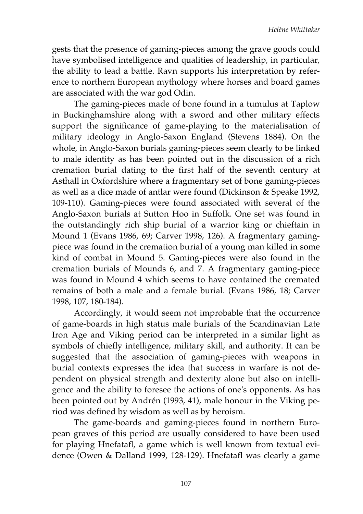gests that the presence of gaming-pieces among the grave goods could have symbolised intelligence and qualities of leadership, in particular, the ability to lead a battle. Ravn supports his interpretation by reference to northern European mythology where horses and board games are associated with the war god Odin.

The gaming-pieces made of bone found in a tumulus at Taplow in Buckinghamshire along with a sword and other military effects support the significance of game-playing to the materialisation of military ideology in Anglo-Saxon England (Stevens 1884). On the whole, in Anglo-Saxon burials gaming-pieces seem clearly to be linked to male identity as has been pointed out in the discussion of a rich cremation burial dating to the first half of the seventh century at Asthall in Oxfordshire where a fragmentary set of bone gaming-pieces as well as a dice made of antlar were found (Dickinson & Speake 1992, 109-110). Gaming-pieces were found associated with several of the Anglo-Saxon burials at Sutton Hoo in Suffolk. One set was found in the outstandingly rich ship burial of a warrior king or chieftain in Mound 1 (Evans 1986, 69; Carver 1998, 126). A fragmentary gamingpiece was found in the cremation burial of a young man killed in some kind of combat in Mound 5. Gaming-pieces were also found in the cremation burials of Mounds 6, and 7. A fragmentary gaming-piece was found in Mound 4 which seems to have contained the cremated remains of both a male and a female burial. (Evans 1986, 18; Carver 1998, 107, 180-184).

Accordingly, it would seem not improbable that the occurrence of game-boards in high status male burials of the Scandinavian Late Iron Age and Viking period can be interpreted in a similar light as symbols of chiefly intelligence, military skill, and authority. It can be suggested that the association of gaming-pieces with weapons in burial contexts expresses the idea that success in warfare is not dependent on physical strength and dexterity alone but also on intelligence and the ability to foresee the actions of one's opponents. As has been pointed out by Andrén (1993, 41), male honour in the Viking period was defined by wisdom as well as by heroism.

The game-boards and gaming-pieces found in northern European graves of this period are usually considered to have been used for playing Hnefatafl, a game which is well known from textual evidence (Owen & Dalland 1999, 128-129). Hnefatafl was clearly a game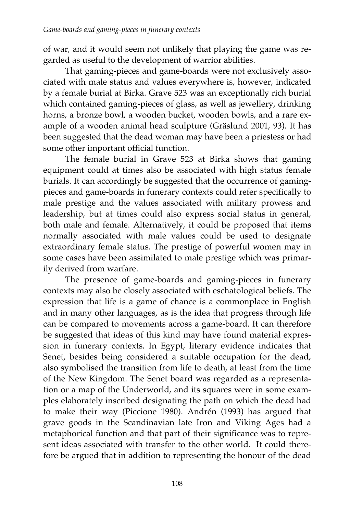of war, and it would seem not unlikely that playing the game was regarded as useful to the development of warrior abilities.

That gaming-pieces and game-boards were not exclusively associated with male status and values everywhere is, however, indicated by a female burial at Birka. Grave 523 was an exceptionally rich burial which contained gaming-pieces of glass, as well as jewellery, drinking horns, a bronze bowl, a wooden bucket, wooden bowls, and a rare example of a wooden animal head sculpture (Gräslund 2001, 93). It has been suggested that the dead woman may have been a priestess or had some other important official function.

The female burial in Grave 523 at Birka shows that gaming equipment could at times also be associated with high status female burials. It can accordingly be suggested that the occurrence of gamingpieces and game-boards in funerary contexts could refer specifically to male prestige and the values associated with military prowess and leadership, but at times could also express social status in general, both male and female. Alternatively, it could be proposed that items normally associated with male values could be used to designate extraordinary female status. The prestige of powerful women may in some cases have been assimilated to male prestige which was primarily derived from warfare.

The presence of game-boards and gaming-pieces in funerary contexts may also be closely associated with eschatological beliefs. The expression that life is a game of chance is a commonplace in English and in many other languages, as is the idea that progress through life can be compared to movements across a game-board. It can therefore be suggested that ideas of this kind may have found material expression in funerary contexts. In Egypt, literary evidence indicates that Senet, besides being considered a suitable occupation for the dead, also symbolised the transition from life to death, at least from the time of the New Kingdom. The Senet board was regarded as a representation or a map of the Underworld, and its squares were in some examples elaborately inscribed designating the path on which the dead had to make their way (Piccione 1980). Andrén (1993) has argued that grave goods in the Scandinavian late Iron and Viking Ages had a metaphorical function and that part of their significance was to represent ideas associated with transfer to the other world. It could therefore be argued that in addition to representing the honour of the dead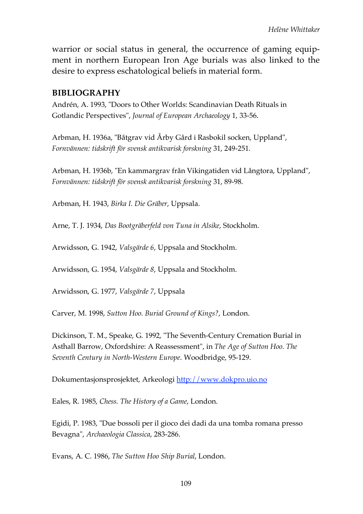warrior or social status in general, the occurrence of gaming equipment in northern European Iron Age burials was also linked to the desire to express eschatological beliefs in material form.

## **BIBLIOGRAPHY**

Andrén, A. 1993, "Doors to Other Worlds: Scandinavian Death Rituals in Gotlandic Perspectives", *Journal of European Archaeology* 1, 33-56.

Arbman, H. 1936a, "Båtgrav vid Årby Gård i Rasbokil socken, Uppland", *Fornvännen: tidskrift för svensk antikvarisk forskning* 31, 249-251.

Arbman, H. 1936b, "En kammargrav från Vikingatiden vid Långtora, Uppland", *Fornvännen: tidskrift för svensk antikvarisk forskning* 31, 89-98.

Arbman, H. 1943, *Birka I. Die Gräber*, Uppsala.

Arne, T. J. 1934, *Das Bootgräberfeld von Tuna in Alsike*, Stockholm.

Arwidsson, G. 1942, *Valsgärde 6*, Uppsala and Stockholm.

Arwidsson, G. 1954, *Valsgärde 8*, Uppsala and Stockholm.

Arwidsson, G. 1977, *Valsgärde 7*, Uppsala

Carver, M. 1998, *Sutton Hoo. Burial Ground of Kings?*, London.

Dickinson, T. M., Speake, G. 1992, "The Seventh-Century Cremation Burial in Asthall Barrow, Oxfordshire: A Reassessment", in *The Age of Sutton Hoo. The Seventh Century in North-Western Europe*. Woodbridge, 95-129.

Dokumentasjonsprosjektet, Arkeologi http://www.dokpro.uio.no

Eales, R. 1985, *Chess. The History of a Game*, London.

Egidi, P. 1983, "Due bossoli per il gioco dei dadi da una tomba romana presso Bevagna", *Archaeologia Classica*, 283-286.

Evans, A. C. 1986, *The Sutton Hoo Ship Burial*, London.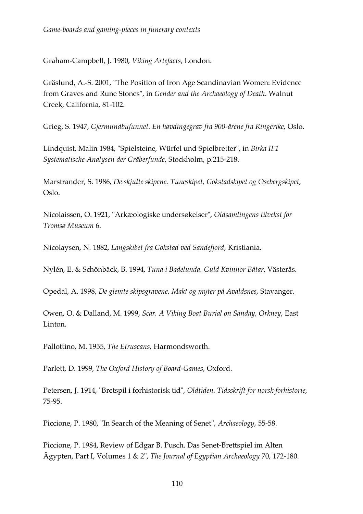Graham-Campbell, J. 1980, *Viking Artefacts*, London.

Gräslund, A.-S. 2001, "The Position of Iron Age Scandinavian Women: Evidence from Graves and Rune Stones", in *Gender and the Archaeology of Death*. Walnut Creek, California, 81-102.

Grieg, S. 1947, *Gjermundbufunnet. En høvdingegrav fra 900-årene fra Ringerike*, Oslo.

Lindquist, Malin 1984, "Spielsteine, Würfel und Spielbretter", in *Birka II.1 Systematische Analysen der Gräberfunde*, Stockholm, p.215-218.

Marstrander, S. 1986, *De skjulte skipene. Tuneskipet, Gokstadskipet og Osebergskipet*, Oslo.

Nicolaissen, O. 1921, "Arkæologiske undersøkelser", *Oldsamlingens tilvekst for Tromsø Museum* 6.

Nicolaysen, N. 1882, *Langskibet fra Gokstad ved Sandefjord*, Kristiania.

Nylén, E. & Schönbäck, B. 1994, *Tuna i Badelunda. Guld Kvinnor Båtar*, Västerås.

Opedal, A. 1998, *De glemte skipsgravene. Makt og myter på Avaldsnes*, Stavanger.

Owen, O. & Dalland, M. 1999, *Scar. A Viking Boat Burial on Sanday, Orkney*, East Linton.

Pallottino, M. 1955, *The Etruscans*, Harmondsworth.

Parlett, D. 1999, *The Oxford History of Board-Games*, Oxford.

Petersen, J. 1914, "Bretspil i forhistorisk tid", *Oldtiden. Tidsskrift for norsk forhistorie*, 75-95.

Piccione, P. 1980, "In Search of the Meaning of Senet", *Archaeology*, 55-58.

Piccione, P. 1984, Review of Edgar B. Pusch. Das Senet-Brettspiel im Alten Ägypten, Part I, Volumes 1 & 2", *The Journal of Egyptian Archaeology* 70, 172-180.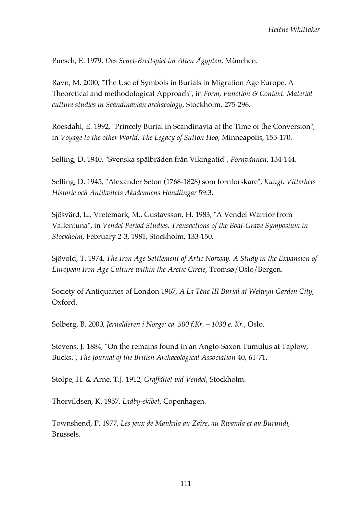Puesch, E. 1979, *Das Senet-Brettspiel im Alten Ägypten*, München.

Ravn, M. 2000, "The Use of Symbols in Burials in Migration Age Europe. A Theoretical and methodological Approach", in *Form, Function & Context. Material culture studies in Scandinavian archaeology*, Stockholm, 275-296.

Roesdahl, E. 1992, "Princely Burial in Scandinavia at the Time of the Conversion", in *Voyage to the other World. The Legacy of Sutton Hoo*, Minneapolis, 155-170.

Selling, D. 1940, "Svenska spälbräden från Vikingatid", *Fornvännen*, 134-144.

Selling, D. 1945, "Alexander Seton (1768-1828) som fornforskare", *Kungl. Vitterhets Historie och Antikvitets Akademiens Handlingar* 59:3.

Sjösvärd, L., Vretemark, M., Gustavsson, H. 1983, "A Vendel Warrior from Vallentuna", in *Vendel Period Studies. Transactions of the Boat-Grave Symposium in Stockholm*, February 2-3, 1981, Stockholm, 133-150.

Sjövold, T. 1974, *The Iron Age Settlement of Artic Norway. A Study in the Expansion of European Iron Age Culture within the Arctic Circle*, Tromsø/Oslo/Bergen.

Society of Antiquaries of London 1967, *A La Tène III Burial at Welwyn Garden City*, Oxford.

Solberg, B. 2000, *Jernalderen i Norge: ca. 500 f.Kr. – 1030 e. Kr.*, Oslo.

Stevens, J. 1884, "On the remains found in an Anglo-Saxon Tumulus at Taplow, Bucks.", *The Journal of the British Archaeological Association* 40, 61-71.

Stolpe, H. & Arne, T.J. 1912, *Graffältet vid Vendel*, Stockholm.

Thorvildsen, K. 1957, *Ladby-skibet*, Copenhagen.

Townshend, P. 1977, *Les jeux de Mankala au Zaire, au Rwanda et au Burundi*, Brussels.